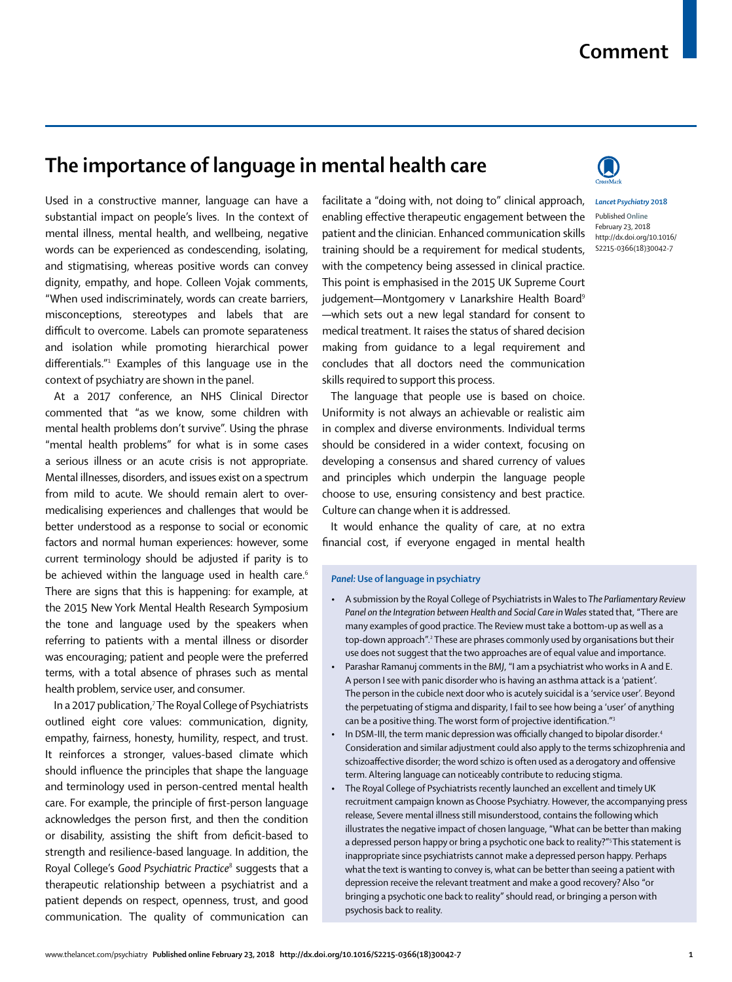## **Comment**

## **The importance of language in mental health care**

Used in a constructive manner, language can have a substantial impact on people's lives. In the context of mental illness, mental health, and wellbeing, negative words can be experienced as condescending, isolating, and stigmatising, whereas positive words can convey dignity, empathy, and hope. Colleen Vojak comments, "When used indiscriminately, words can create barriers, misconceptions, stereotypes and labels that are difficult to overcome. Labels can promote separateness and isolation while promoting hierarchical power differentials."1 Examples of this language use in the context of psychiatry are shown in the panel.

At a 2017 conference, an NHS Clinical Director commented that "as we know, some children with mental health problems don't survive". Using the phrase "mental health problems" for what is in some cases a serious illness or an acute crisis is not appropriate. Mental illnesses, disorders, and issues exist on a spectrum from mild to acute. We should remain alert to overmedicalising experiences and challenges that would be better understood as a response to social or economic factors and normal human experiences: however, some current terminology should be adjusted if parity is to be achieved within the language used in health care.<sup>6</sup> There are signs that this is happening: for example, at the 2015 New York Mental Health Research Symposium the tone and language used by the speakers when referring to patients with a mental illness or disorder was encouraging; patient and people were the preferred terms, with a total absence of phrases such as mental health problem, service user, and consumer.

In a 2017 publication,7 The Royal College of Psychiatrists outlined eight core values: communication, dignity, empathy, fairness, honesty, humility, respect, and trust. It reinforces a stronger, values-based climate which should influence the principles that shape the language and terminology used in person-centred mental health care. For example, the principle of first-person language acknowledges the person first, and then the condition or disability, assisting the shift from deficit-based to strength and resilience-based language. In addition, the Royal College's *Good Psychiatric Practice*<sup>8</sup> suggests that a therapeutic relationship between a psychiatrist and a patient depends on respect, openness, trust, and good communication. The quality of communication can facilitate a "doing with, not doing to" clinical approach, enabling effective therapeutic engagement between the patient and the clinician. Enhanced communication skills training should be a requirement for medical students, with the competency being assessed in clinical practice. This point is emphasised in the 2015 UK Supreme Court judgement—Montgomery v Lanarkshire Health Board<sup>9</sup> —which sets out a new legal standard for consent to medical treatment. It raises the status of shared decision making from guidance to a legal requirement and concludes that all doctors need the communication skills required to support this process.

The language that people use is based on choice. Uniformity is not always an achievable or realistic aim in complex and diverse environments. Individual terms should be considered in a wider context, focusing on developing a consensus and shared currency of values and principles which underpin the language people choose to use, ensuring consistency and best practice. Culture can change when it is addressed.

It would enhance the quality of care, at no extra financial cost, if everyone engaged in mental health

## *Panel:* **Use of language in psychiatry**

- A submission by the Royal College of Psychiatrists in Wales to *The Parliamentary Review Panel on the Integration between Health and Social Care in Wales* stated that, "There are many examples of good practice. The Review must take a bottom-up as well as a top-down approach".<sup>2</sup> These are phrases commonly used by organisations but their use does not suggest that the two approaches are of equal value and importance.
- Parashar Ramanuj comments in the *BMJ*, "I am a psychiatrist who works in A and E. A person I see with panic disorder who is having an asthma attack is a 'patient'. The person in the cubicle next door who is acutely suicidal is a 'service user'. Beyond the perpetuating of stigma and disparity, I fail to see how being a 'user' of anything can be a positive thing. The worst form of projective identification."3
- In DSM-III, the term manic depression was officially changed to bipolar disorder.<sup>4</sup> Consideration and similar adjustment could also apply to the terms schizophrenia and schizoaffective disorder; the word schizo is often used as a derogatory and offensive term. Altering language can noticeably contribute to reducing stigma.
- The Royal College of Psychiatrists recently launched an excellent and timely UK recruitment campaign known as Choose Psychiatry. However, the accompanying press release, Severe mental illness still misunderstood, contains the following which illustrates the negative impact of chosen language, "What can be better than making a depressed person happy or bring a psychotic one back to reality?"<sup>5</sup>This statement is inappropriate since psychiatrists cannot make a depressed person happy. Perhaps what the text is wanting to convey is, what can be better than seeing a patient with depression receive the relevant treatment and make a good recovery? Also "or bringing a psychotic one back to reality" should read, or bringing a person with psychosis back to reality.



*Lancet Psychiatry* **2018** Published **Online** February 23, 2018 http://dx.doi.org/10.1016/ S2215-0366(18)30042-7